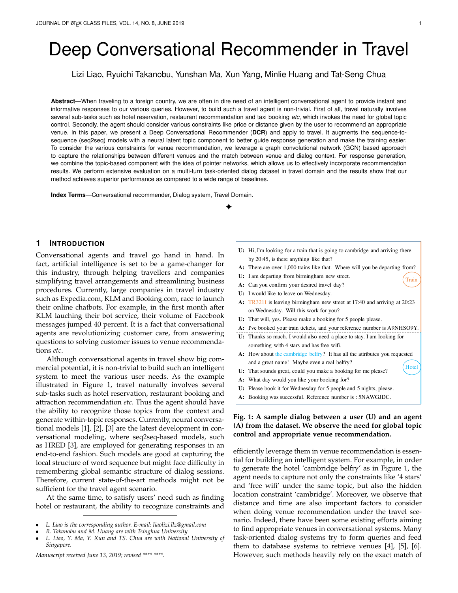# Deep Conversational Recommender in Travel

Lizi Liao, Ryuichi Takanobu, Yunshan Ma, Xun Yang, Minlie Huang and Tat-Seng Chua

**Abstract**—When traveling to a foreign country, we are often in dire need of an intelligent conversational agent to provide instant and informative responses to our various queries. However, to build such a travel agent is non-trivial. First of all, travel naturally involves several sub-tasks such as hotel reservation, restaurant recommendation and taxi booking *etc*, which invokes the need for global topic control. Secondly, the agent should consider various constraints like price or distance given by the user to recommend an appropriate venue. In this paper, we present a Deep Conversational Recommender (**DCR**) and apply to travel. It augments the sequence-tosequence (seq2seq) models with a neural latent topic component to better guide response generation and make the training easier. To consider the various constraints for venue recommendation, we leverage a graph convolutional network (GCN) based approach to capture the relationships between different venues and the match between venue and dialog context. For response generation, we combine the topic-based component with the idea of pointer networks, which allows us to effectively incorporate recommendation results. We perform extensive evaluation on a multi-turn task-oriented dialog dataset in travel domain and the results show that our method achieves superior performance as compared to a wide range of baselines.

✦

**Index Terms**—Conversational recommender, Dialog system, Travel Domain.

# **1 INTRODUCTION**

Conversational agents and travel go hand in hand. In fact, artificial intelligence is set to be a game-changer for this industry, through helping travellers and companies simplifying travel arrangements and streamlining business procedures. Currently, large companies in travel industry such as Expedia.com, KLM and Booking.com, race to launch their online chatbots. For example, in the first month after KLM lauching their bot service, their volume of Facebook messages jumped 40 percent. It is a fact that conversational agents are revolutionizing customer care, from answering questions to solving customer issues to venue recommendations *etc*.

Although conversational agents in travel show big commercial potential, it is non-trivial to build such an intelligent system to meet the various user needs. As the example illustrated in Figure 1, travel naturally involves several sub-tasks such as hotel reservation, restaurant booking and attraction recommendation *etc*. Thus the agent should have the ability to recognize those topics from the context and generate within-topic responses. Currently, neural conversational models [1], [2], [3] are the latest development in conversational modeling, where seq2seq-based models, such as HRED [3], are employed for generating responses in an end-to-end fashion. Such models are good at capturing the local structure of word sequence but might face difficulty in remembering global semantic structure of dialog sessions. Therefore, current state-of-the-art methods might not be sufficient for the travel agent scenario.

At the same time, to satisfy users' need such as finding hotel or restaurant, the ability to recognize constraints and

*Manuscript received June 13, 2019; revised \*\*\*\* \*\*\*\*.*

- U: Hi, I'm looking for a train that is going to cambridge and arriving there by 20:45, is there anything like that?
- A: There are over 1,000 trains like that. Where will you be departing from?
- **U:** I am departing from birmingham new street.
- A: Can you confirm your desired travel day?
- **U:** I would like to leave on Wednesday.
- TR3211 is leaving birmingham new street at 17:40 and arriving at 20:23 **A:** on Wednesday. Will this work for you?
- **U:** That will, yes. Please make a booking for 5 people please.
- A: I've booked your train tickets, and your reference number is A9NHSO9Y.
- U: Thanks so much. I would also need a place to stay. I am looking for something with 4 stars and has free wifi.
- A: How about the cambridge belfry? It has all the attributes you requested and a great name! Maybe even a real belfry? **Hotel**
- U: That sounds great, could you make a booking for me please?
- What day would you like your booking for? **A:**
- U: Please book it for Wednesday for 5 people and 5 nights, please.
- A: Booking was successful. Reference number is : 5NAWGJDC.

# **Fig. 1: A sample dialog between a user (U) and an agent (A) from the dataset. We observe the need for global topic control and appropriate venue recommendation.**

efficiently leverage them in venue recommendation is essential for building an intelligent system. For example, in order to generate the hotel 'cambridge belfry' as in Figure 1, the agent needs to capture not only the constraints like '4 stars' and 'free wifi' under the same topic, but also the hidden location constraint 'cambridge'. Moreover, we observe that distance and time are also important factors to consider when doing venue recommendation under the travel scenario. Indeed, there have been some existing efforts aiming to find appropriate venues in conversational systems. Many task-oriented dialog systems try to form queries and feed them to database systems to retrieve venues [4], [5], [6]. However, such methods heavily rely on the exact match of

Train

<sup>•</sup> *L. Liao is the corresponding author. E-mail: liaolizi.llz@gmail.com*

<sup>•</sup> *R. Takanobu and M. Huang are with Tsinghua University*

<sup>•</sup> *L. Liao, Y. Ma, Y. Xun and TS. Chua are with National University of Singapore.*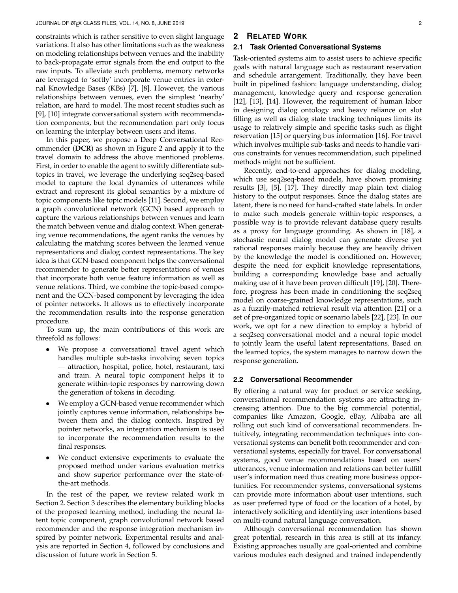constraints which is rather sensitive to even slight language variations. It also has other limitations such as the weakness on modeling relationships between venues and the inability to back-propagate error signals from the end output to the raw inputs. To alleviate such problems, memory networks are leveraged to 'softly' incorporate venue entries in external Knowledge Bases (KBs) [7], [8]. However, the various relationships between venues, even the simplest 'nearby' relation, are hard to model. The most recent studies such as [9], [10] integrate conversational system with recommendation components, but the recommendation part only focus on learning the interplay between users and items.

In this paper, we propose a Deep Conversational Recommender (**DCR**) as shown in Figure 2 and apply it to the travel domain to address the above mentioned problems. First, in order to enable the agent to swiftly differentiate subtopics in travel, we leverage the underlying seq2seq-based model to capture the local dynamics of utterances while extract and represent its global semantics by a mixture of topic components like topic models [11]. Second, we employ a graph convolutional network (GCN) based approach to capture the various relationships between venues and learn the match between venue and dialog context. When generating venue recommendations, the agent ranks the venues by calculating the matching scores between the learned venue representations and dialog context representations. The key idea is that GCN-based component helps the conversational recommender to generate better representations of venues that incorporate both venue feature information as well as venue relations. Third, we combine the topic-based component and the GCN-based component by leveraging the idea of pointer networks. It allows us to effectively incorporate the recommendation results into the response generation procedure.

To sum up, the main contributions of this work are threefold as follows:

- We propose a conversational travel agent which handles multiple sub-tasks involving seven topics — attraction, hospital, police, hotel, restaurant, taxi and train. A neural topic component helps it to generate within-topic responses by narrowing down the generation of tokens in decoding.
- We employ a GCN-based venue recommender which jointly captures venue information, relationships between them and the dialog contexts. Inspired by pointer networks, an integration mechanism is used to incorporate the recommendation results to the final responses.
- We conduct extensive experiments to evaluate the proposed method under various evaluation metrics and show superior performance over the state-ofthe-art methods.

In the rest of the paper, we review related work in Section 2. Section 3 describes the elementary building blocks of the proposed learning method, including the neural latent topic component, graph convolutional network based recommender and the response integration mechanism inspired by pointer network. Experimental results and analysis are reported in Section 4, followed by conclusions and discussion of future work in Section 5.

# **2 RELATED WORK**

## **2.1 Task Oriented Conversational Systems**

Task-oriented systems aim to assist users to achieve specific goals with natural language such as restaurant reservation and schedule arrangement. Traditionally, they have been built in pipelined fashion: language understanding, dialog management, knowledge query and response generation [12], [13], [14]. However, the requirement of human labor in designing dialog ontology and heavy reliance on slot filling as well as dialog state tracking techniques limits its usage to relatively simple and specific tasks such as flight reservation [15] or querying bus information [16]. For travel which involves multiple sub-tasks and needs to handle various constraints for venues recommendation, such pipelined methods might not be sufficient.

Recently, end-to-end approaches for dialog modeling, which use seq2seq-based models, have shown promising results [3], [5], [17]. They directly map plain text dialog history to the output responses. Since the dialog states are latent, there is no need for hand-crafted state labels. In order to make such models generate within-topic responses, a possible way is to provide relevant database query results as a proxy for language grounding. As shown in [18], a stochastic neural dialog model can generate diverse yet rational responses mainly because they are heavily driven by the knowledge the model is conditioned on. However, despite the need for explicit knowledge representations, building a corresponding knowledge base and actually making use of it have been proven difficult [19], [20]. Therefore, progress has been made in conditioning the seq2seq model on coarse-grained knowledge representations, such as a fuzzily-matched retrieval result via attention [21] or a set of pre-organized topic or scenario labels [22], [23]. In our work, we opt for a new direction to employ a hybrid of a seq2seq conversational model and a neural topic model to jointly learn the useful latent representations. Based on the learned topics, the system manages to narrow down the response generation.

# **2.2 Conversational Recommender**

By offering a natural way for product or service seeking, conversational recommendation systems are attracting increasing attention. Due to the big commercial potential, companies like Amazon, Google, eBay, Alibaba are all rolling out such kind of conversational recommenders. Intuitively, integrating recommendation techniques into conversational systems can benefit both recommender and conversational systems, especially for travel. For conversational systems, good venue recommendations based on users' utterances, venue information and relations can better fulfill user's information need thus creating more business opportunities. For recommender systems, conversational systems can provide more information about user intentions, such as user preferred type of food or the location of a hotel, by interactively soliciting and identifying user intentions based on multi-round natural language conversation.

Although conversational recommendation has shown great potential, research in this area is still at its infancy. Existing approaches usually are goal-oriented and combine various modules each designed and trained independently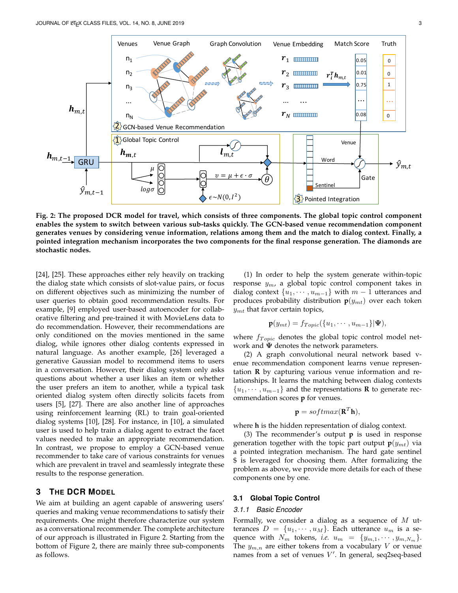

**Fig. 2: The proposed DCR model for travel, which consists of three components. The global topic control component enables the system to switch between various sub-tasks quickly. The GCN-based venue recommendation component generates venues by considering venue information, relations among them and the match to dialog context. Finally, a pointed integration mechanism incorporates the two components for the final response generation. The diamonds are stochastic nodes.**

[24], [25]. These approaches either rely heavily on tracking the dialog state which consists of slot-value pairs, or focus on different objectives such as minimizing the number of user queries to obtain good recommendation results. For example, [9] employed user-based autoencoder for collaborative filtering and pre-trained it with MovieLens data to do recommendation. However, their recommendations are only conditioned on the movies mentioned in the same dialog, while ignores other dialog contents expressed in natural language. As another example, [26] leveraged a generative Gaussian model to recommend items to users in a conversation. However, their dialog system only asks questions about whether a user likes an item or whether the user prefers an item to another, while a typical task oriented dialog system often directly solicits facets from users [5], [27]. There are also another line of approaches using reinforcement learning (RL) to train goal-oriented dialog systems [10], [28]. For instance, in [10], a simulated user is used to help train a dialog agent to extract the facet values needed to make an appropriate recommendation. In contrast, we propose to employ a GCN-based venue recommender to take care of various constraints for venues which are prevalent in travel and seamlessly integrate these results to the response generation.

# **3 THE DCR MODEL**

We aim at building an agent capable of answering users' queries and making venue recommendations to satisfy their requirements. One might therefore characterize our system as a conversational recommender. The complete architecture of our approach is illustrated in Figure 2. Starting from the bottom of Figure 2, there are mainly three sub-components as follows.

(1) In order to help the system generate within-topic response  $y_m$ , a global topic control component takes in dialog context  $\{u_1, \dots, u_{m-1}\}\$  with  $m-1$  utterances and produces probability distribution  $p(y_{mt})$  over each token  $y_{mt}$  that favor certain topics,

$$
\mathbf{p}(y_{mt}) = f_{Topic}(\{u_1, \cdots, u_{m-1}\}|\mathbf{\Psi}),
$$

where  $f_{Topic}$  denotes the global topic control model network and  $\Psi$  denotes the network parameters.

(2) A graph convolutional neural network based venue recommendation component learns venue representation **R** by capturing various venue information and relationships. It learns the matching between dialog contexts  $\{u_1, \dots, u_{m-1}\}\$  and the representations **R** to generate recommendation scores **p** for venues.

$$
\mathbf{p} = softmax(\mathbf{R}^T \mathbf{h}),
$$

where **h** is the hidden representation of dialog context.

(3) The recommender's output **p** is used in response generation together with the topic part output  $\mathbf{p}(y_{mt})$  via a pointed integration mechanism. The hard gate sentinel \$ is leveraged for choosing them. After formalizing the problem as above, we provide more details for each of these components one by one.

# **3.1 Global Topic Control**

#### *3.1.1 Basic Encoder*

Formally, we consider a dialog as a sequence of  $M$  utterances  $D = \{u_1, \dots, u_M\}$ . Each utterance  $u_m$  is a sequence with  $N_m$  tokens, *i.e.*  $u_m = \{y_{m,1}, \dots, y_{m,N_m}\}.$ The  $y_{m,n}$  are either tokens from a vocabulary V or venue names from a set of venues  $V'$ . In general, seq2seq-based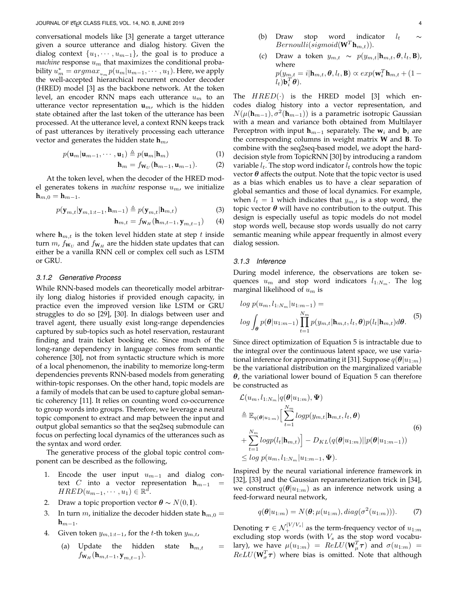conversational models like [3] generate a target utterance given a source utterance and dialog history. Given the dialog context  $\{u_1, \dots, u_{m-1}\}\)$ , the goal is to produce a *machine* response  $u_m$  that maximizes the conditional probability  $u_m^* = argmax_{u_m} p(u_m|u_{m-1}, \dots, u_1)$ . Here, we apply the well-accepted hierarchical recurrent encoder decoder (HRED) model [3] as the backbone network. At the token level, an encoder RNN maps each utterance  $u_m$  to an utterance vector representation  $\mathbf{u}_m$ , which is the hidden state obtained after the last token of the utterance has been processed. At the utterance level, a context RNN keeps track of past utterances by iteratively processing each utterance vector and generates the hidden state  $h_m$ ,

$$
p(\mathbf{u}_m|\mathbf{u}_{m-1},\cdots,\mathbf{u}_1) \triangleq p(\mathbf{u}_m|\mathbf{h}_m)
$$
 (1)

$$
\mathbf{h}_m = f_{\mathbf{W}_U}(\mathbf{h}_{m-1}, \mathbf{u}_{m-1}).
$$
 (2)

At the token level, when the decoder of the HRED model generates tokens in *machine* response  $u_m$ , we initialize **h**<sub>m,0</sub> = **h**<sub>m−1</sub>.

$$
p(\mathbf{y}_{m,t}|\mathbf{y}_{m,1:t-1},\mathbf{h}_{m-1}) \triangleq p(\mathbf{y}_{m,t}|\mathbf{h}_{m,t})
$$
\n(3)

$$
\mathbf{h}_{m,t} = f_{\mathbf{W}_H}(\mathbf{h}_{m,t-1}, \mathbf{y}_{m,t-1}) \qquad (4)
$$

where  $\mathbf{h}_{m,t}$  is the token level hidden state at step t inside turn  $m$ ,  $f_{\mathbf{W}_U}$  and  $f_{\mathbf{W}_H}$  are the hidden state updates that can either be a vanilla RNN cell or complex cell such as LSTM or GRU.

#### *3.1.2 Generative Process*

While RNN-based models can theoretically model arbitrarily long dialog histories if provided enough capacity, in practice even the improved version like LSTM or GRU struggles to do so [29], [30]. In dialogs between user and travel agent, there usually exist long-range dependencies captured by sub-topics such as hotel reservation, restaurant finding and train ticket booking etc. Since much of the long-range dependency in language comes from semantic coherence [30], not from syntactic structure which is more of a local phenomenon, the inability to memorize long-term dependencies prevents RNN-based models from generating within-topic responses. On the other hand, topic models are a family of models that can be used to capture global semantic coherency [11]. It relies on counting word co-occurrence to group words into groups. Therefore, we leverage a neural topic component to extract and map between the input and output global semantics so that the seq2seq submodule can focus on perfecting local dynamics of the utterances such as the syntax and word order.

The generative process of the global topic control component can be described as the following,

- 1. Encode the user input  $u_{m-1}$  and dialog context C into a vector representation  $h_{m-1}$  $HRED(u_{m-1},\cdots,u_1) \in \mathbb{R}^{\tilde{d}}$ .
- 2. Draw a topic proportion vector  $\boldsymbol{\theta} \sim N(0, \mathbf{I}).$
- 3. In turn *m*, initialize the decoder hidden state  $h_{m,0} =$  $h_{m-1}$ .
- 4. Given token  $y_{m,1:t-1}$ , for the t-th token  $y_{m,t}$ ,
	- (a) Update the hidden state  $h_{m,t}$  =  $f_{\textbf{W}_H}(\textbf{h}_{m,t-1}, \textbf{y}_{m,t-1}).$
- (b) Draw stop word indicator  $l_t$  $Bernoulli(sigmoid(\mathbf{W}^T \mathbf{h}_{m,t})).$
- (c) Draw a token  $y_{m,t} \sim p(y_{m,t}|\mathbf{h}_{m,t}, \boldsymbol{\theta}, l_t, \mathbf{B})$ , where  $p(y_{m,t} = i | \mathbf{h}_{m,t}, \boldsymbol{\theta}, l_t, \mathbf{B}) \propto exp(\mathbf{w}_i^T \mathbf{h}_{m,t} + (1 (l_t)\mathbf{b}_i^T\boldsymbol{\theta}$ ).

The  $HRED(\cdot)$  is the HRED model [3] which encodes dialog history into a vector representation, and  $N(μ(h<sub>m−1</sub>), σ<sup>2</sup>(h<sub>m−1</sub>))$  is a parametric isotropic Gaussian with a mean and variance both obtained from Multilayer Perceptron with input  $\mathbf{h}_{m-1}$  separately. The  $\mathbf{w}_i$  and  $\mathbf{b}_i$  are the corresponding columns in weight matrix **W** and **B**. To combine with the seq2seq-based model, we adopt the harddecision style from TopicRNN [30] by introducing a random variable  $l_t$ . The stop word indicator  $l_t$  controls how the topic vector  $\theta$  affects the output. Note that the topic vector is used as a bias which enables us to have a clear separation of global semantics and those of local dynamics. For example, when  $l_t = 1$  which indicates that  $y_{m,t}$  is a stop word, the topic vector  $\theta$  will have no contribution to the output. This design is especially useful as topic models do not model stop words well, because stop words usually do not carry semantic meaning while appear frequently in almost every dialog session.

#### *3.1.3 Inference*

During model inference, the observations are token sequences  $u_m$  and stop word indicators  $l_{1:N_m}$ . The log marginal likelihood of  $u_m$  is

$$
\log p(u_m, l_{1:N_m} | u_{1:m-1}) =
$$
  

$$
\log \int_{\theta} p(\theta | u_{1:m-1}) \prod_{t=1}^{N_m} p(y_{m,t} | \mathbf{h}_{m,t}, l_t, \theta) p(l_t | \mathbf{h}_{m,t}) d\theta.
$$
 (5)

Since direct optimization of Equation 5 is intractable due to the integral over the continuous latent space, we use variational inference for approximating it [31]. Suppose  $q(\theta|u_{1:m})$ be the variational distribution on the marginalized variable  $\theta$ , the variational lower bound of Equation 5 can therefore be constructed as

$$
\mathcal{L}(u_m, l_{1:N_m} | q(\boldsymbol{\theta}|u_{1:m}), \boldsymbol{\Psi})
$$
\n
$$
\triangleq \mathbb{E}_{q(\boldsymbol{\theta}|u_{1:m})} \Big[ \sum_{t=1}^{N_m} logp(y_{m,t}|\mathbf{h}_{m,t}, l_t, \boldsymbol{\theta})
$$
\n
$$
+ \sum_{t=1}^{N_m} logp(l_t|\mathbf{h}_{m,t}) \Big] - D_{KL}(q(\boldsymbol{\theta}|u_{1:m}) || p(\boldsymbol{\theta}|u_{1:m-1}))
$$
\n
$$
\leq log p(u_m, l_{1:N_m} | u_{1:m-1}, \boldsymbol{\Psi}).
$$
\n(6)

Inspired by the neural variational inference framework in [32], [33] and the Gaussian reparameterization trick in [34], we construct  $q(\theta|u_{1:m})$  as an inference network using a feed-forward neural network,

$$
q(\boldsymbol{\theta}|u_{1:m}) = N(\boldsymbol{\theta}; \mu(u_{1:m}), diag(\sigma^2(u_{1:m}))).
$$
 (7)

Denoting  $\boldsymbol{\tau} \in \mathcal{N}_{+}^{|V/V_s|}$  as the term-frequency vector of  $u_{1:m}$ excluding stop words (with  $V_s$  as the stop word vocabulary), we have  $\mu(u_{1:m}) = ReLU(\mathbf{W}_{\mu}^T \boldsymbol{\tau})$  and  $\sigma(u_{1:m}) =$  $ReLU(\mathbf{W}_{\sigma}^T \boldsymbol{\tau})$  where bias is omitted. Note that although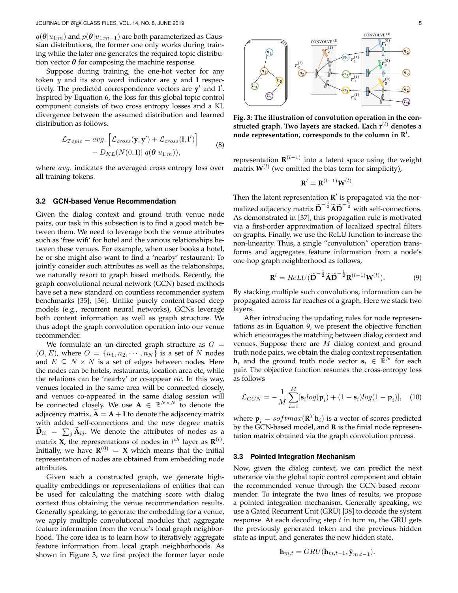$q(\boldsymbol{\theta}|u_{1:m})$  and  $p(\boldsymbol{\theta}|u_{1:m-1})$  are both parameterized as Gaussian distributions, the former one only works during training while the later one generates the required topic distribution vector  $\theta$  for composing the machine response.

Suppose during training, the one-hot vector for any token y and its stop word indicator are **y** and **l** respectively. The predicted correspondence vectors are y' and l'. Inspired by Equation 6, the loss for this global topic control component consists of two cross entropy losses and a KL divergence between the assumed distribution and learned distribution as follows.

$$
\mathcal{L}_{Topic} = avg. \left[ \mathcal{L}_{cross}(\mathbf{y}, \mathbf{y}') + \mathcal{L}_{cross}(\mathbf{1}, \mathbf{1}') \right] - D_{KL}(N(0, \mathbf{I}) || q(\boldsymbol{\theta} | u_{1:m})),
$$
\n(8)

where *avg*. indicates the averaged cross entropy loss over all training tokens.

# **3.2 GCN-based Venue Recommendation**

Given the dialog context and ground truth venue node pairs, our task in this subsection is to find a good match between them. We need to leverage both the venue attributes such as 'free wifi' for hotel and the various relationships between these venues. For example, when user books a hotel, he or she might also want to find a 'nearby' restaurant. To jointly consider such attributes as well as the relationships, we naturally resort to graph based methods. Recently, the graph convolutional neural network (GCN) based methods have set a new standard on countless recommender system benchmarks [35], [36]. Unlike purely content-based deep models (e.g., recurrent neural networks), GCNs leverage both content information as well as graph structure. We thus adopt the graph convolution operation into our venue recommender.

We formulate an un-directed graph structure as  $G =$  $(O, E)$ , where  $O = \{n_1, n_2, \cdots, n_N\}$  is a set of N nodes and  $E \subseteq N \times N$  is a set of edges between nodes. Here the nodes can be hotels, restaurants, location area etc, while the relations can be 'nearby' or co-appear *etc*. In this way, venues located in the same area will be connected closely, and venues co-appeared in the same dialog session will be connected closely. We use  $A \in \mathbb{R}^{N \times N}$  to denote the adjacency matrix,  $\mathbf{A} = \mathbf{A} + \mathbf{I}$  to denote the adjacency matrix with added self-connections and the new degree matrix  $\mathbf{D}_{ii}$  =  $\sum_j \mathbf{A}_{ij}$ . We denote the attributes of nodes as a matrix **X**, the representations of nodes in  $l^{th}$  layer as  $\mathbf{R}^{(l)}$ . Initially, we have  $\mathbf{R}^{(0)} = \mathbf{X}$  which means that the initial representation of nodes are obtained from embedding node attributes.

Given such a constructed graph, we generate highquality embeddings or representations of entities that can be used for calculating the matching score with dialog context thus obtaining the venue recommendation results. Generally speaking, to generate the embedding for a venue, we apply multiple convolutional modules that aggregate feature information from the venue's local graph neighborhood. The core idea is to learn how to iteratively aggregate feature information from local graph neighborhoods. As shown in Figure 3, we first project the former layer node



**Fig. 3: The illustration of convolution operation in the constructed graph. Two layers are stacked. Each r**(l) **denotes a** node representation, corresponds to the column in  $\mathbf{R}^l$ .

representation **R** (l−1) into a latent space using the weight matrix  $W^{(l)}$  (we omitted the bias term for simplicity),

$$
\mathbf{R}' = \mathbf{R}^{(l-1)} \mathbf{W}^{(l)}.
$$

Then the latent representation  $\mathbf{R}'$  is propagated via the normalized adjacency matrix  $\widetilde{\mathbf{D}}^{-\frac{1}{2}} \widetilde{\mathbf{A}} \widetilde{\mathbf{D}}^{-\frac{1}{2}}$  with self-connections. As demonstrated in [37], this propagation rule is motivated via a first-order approximation of localized spectral filters on graphs. Finally, we use the ReLU function to increase the non-linearity. Thus, a single "convolution" operation transforms and aggregates feature information from a node's one-hop graph neighborhood as follows,

$$
\mathbf{R}^{l} = ReLU(\widetilde{\mathbf{D}}^{-\frac{1}{2}}\widetilde{\mathbf{A}}\widetilde{\mathbf{D}}^{-\frac{1}{2}}\mathbf{R}^{(l-1)}\mathbf{W}^{(l)}).
$$
 (9)

By stacking multiple such convolutions, information can be propagated across far reaches of a graph. Here we stack two layers.

After introducing the updating rules for node representations as in Equation 9, we present the objective function which encourages the matching between dialog context and venues. Suppose there are  $M$  dialog context and ground truth node pairs, we obtain the dialog context representation  $\mathbf{h}_i$  and the ground truth node vector  $\mathbf{s}_i \in \mathbb{R}^N$  for each pair. The objective function resumes the cross-entropy loss as follows

$$
\mathcal{L}_{GCN} = -\frac{1}{M} \sum_{i=1}^{M} [\mathbf{s}_i log(\mathbf{p}_i) + (1 - \mathbf{s}_i)log(1 - \mathbf{p}_i)], \quad (10)
$$

where  $\mathbf{p}_i = softmax(\mathbf{R}^T \mathbf{h}_i)$  is a vector of scores predicted by the GCN-based model, and **R** is the finial node representation matrix obtained via the graph convolution process.

#### **3.3 Pointed Integration Mechanism**

Now, given the dialog context, we can predict the next utterance via the global topic control component and obtain the recommended venue through the GCN-based recommender. To integrate the two lines of results, we propose a pointed integration mechanism. Generally speaking, we use a Gated Recurrent Unit (GRU) [38] to decode the system response. At each decoding step  $t$  in turn  $m$ , the GRU gets the previously generated token and the previous hidden state as input, and generates the new hidden state,

$$
\mathbf{h}_{m,t} = GRU(\mathbf{h}_{m,t-1}, \hat{\mathbf{y}}_{m,t-1}).
$$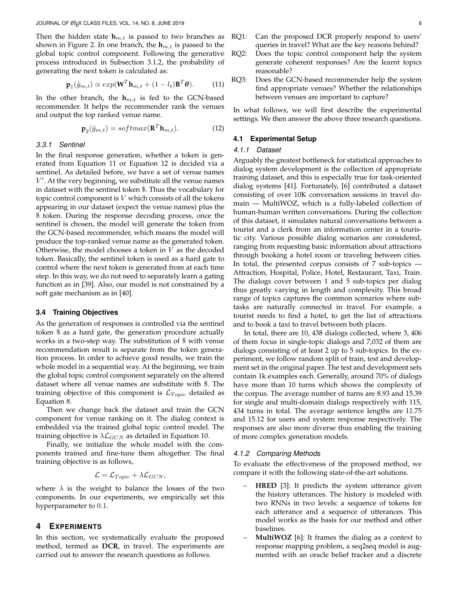Then the hidden state  $h_{m,t}$  is passed to two branches as shown in Figure 2. In one branch, the  $h_{m,t}$  is passed to the global topic control component. Following the generative process introduced in Subsection 3.1.2, the probability of generating the next token is calculated as:

$$
\mathbf{p}_1(\hat{y}_{m,t}) \propto exp(\mathbf{W}^T \mathbf{h}_{m,t} + (1 - l_t) \mathbf{B}^T \boldsymbol{\theta}).
$$
 (11)

In the other branch, the  $h_{m,t}$  is fed to the GCN-based recommender. It helps the recommender rank the venues and output the top ranked venue name.

$$
\mathbf{p}_2(\hat{y}_{m,t}) = softmax(\mathbf{R}^T \mathbf{h}_{m,t}).
$$
\n(12)

#### *3.3.1 Sentinel*

In the final response generation, whether a token is generated from Equation 11 or Equation 12 is decided via a sentinel. As detailed before, we have a set of venue names  $V'$ . At the very beginning, we substitute all the venue names in dataset with the sentinel token \$. Thus the vocabulary for topic control component is  $V$  which consists of all the tokens appearing in our dataset (expect the venue names) plus the \$ token. During the response decoding process, once the sentinel is chosen, the model will generate the token from the GCN-based recommender, which means the model will produce the top-ranked venue name as the generated token. Otherwise, the model chooses a token in  $V$  as the decoded token. Basically, the sentinel token is used as a hard gate to control where the next token is generated from at each time step. In this way, we do not need to separately learn a gating function as in [39]. Also, our model is not constrained by a soft gate mechanism as in [40].

# **3.4 Training Objectives**

As the generation of responses is controlled via the sentinel token \$ as a hard gate, the generation procedure actually works in a two-step way. The substitution of \$ with venue recommendation result is separate from the token generation process. In order to achieve good results, we train the whole model in a sequential way. At the beginning, we train the global topic control component separately on the altered dataset where all venue names are substitute with \$. The training objective of this component is  $\mathcal{L}_{Topic}$  detailed as Equation 8.

Then we change back the dataset and train the GCN component for venue ranking on it. The dialog context is embedded via the trained global topic control model. The training objective is  $\lambda \mathcal{L}_{GCN}$  as detailed in Equation 10.

Finally, we initialize the whole model with the components trained and fine-tune them altogether. The final training objective is as follows,

$$
\mathcal{L} = \mathcal{L}_{Topic} + \lambda \mathcal{L}_{GCN},
$$

where  $\lambda$  is the weight to balance the losses of the two components. In our experiments, we empirically set this hyperparameter to 0.1.

# **4 EXPERIMENTS**

In this section, we systematically evaluate the proposed method, termed as **DCR**, in travel. The experiments are carried out to answer the research questions as follows.

- RQ1: Can the proposed DCR properly respond to users' queries in travel? What are the key reasons behind?
- RQ2: Does the topic control component help the system generate coherent responses? Are the learnt topics reasonable?
- RQ3: Does the GCN-based recommender help the system find appropriate venues? Whether the relationships between venues are important to capture?

In what follows, we will first describe the experimental settings. We then answer the above three research questions.

# **4.1 Experimental Setup**

#### *4.1.1 Dataset*

Arguably the greatest bottleneck for statistical approaches to dialog system development is the collection of appropriate training dataset, and this is especially true for task-oriented dialog systems [41]. Fortunately, [6] contributed a dataset consisting of over 10K conversation sessions in travel domain — MultiWOZ, which is a fully-labeled collection of human-human written conversations. During the collection of this dataset, it simulates natural conversations between a tourist and a clerk from an information center in a touristic city. Various possible dialog scenarios are considered, ranging from requesting basic information about attractions through booking a hotel room or traveling between cities. In total, the presented corpus consists of 7 sub-topics — Attraction, Hospital, Police, Hotel, Restaurant, Taxi, Train. The dialogs cover between 1 and 5 sub-topics per dialog thus greatly varying in length and complexity. This broad range of topics captures the common scenarios where subtasks are naturally connected in travel. For example, a tourist needs to find a hotel, to get the list of attractions and to book a taxi to travel between both places.

In total, there are 10, 438 dialogs collected, where 3, 406 of them focus in single-topic dialogs and 7,032 of them are dialogs consisting of at least 2 up to 5 sub-topics. In the experiment, we follow random split of train, test and development set in the original paper. The test and development sets contain 1k examples each. Generally, around 70% of dialogs have more than 10 turns which shows the complexity of the corpus. The average number of turns are 8.93 and 15.39 for single and multi-domain dialogs respectively with 115, 434 turns in total. The average sentence lengths are 11.75 and 15.12 for users and system response respectively. The responses are also more diverse thus enabling the training of more complex generation models.

#### *4.1.2 Comparing Methods*

To evaluate the effectiveness of the proposed method, we compare it with the following state-of-the-art solutions.

- **HRED** [3]: It predicts the system utterance given the history utterances. The history is modeled with two RNNs in two levels: a sequence of tokens for each utterance and a sequence of utterances. This model works as the basis for our method and other baselines.
- **MultiWOZ** [6]: It frames the dialog as a context to response mapping problem, a seq2seq model is augmented with an oracle belief tracker and a discrete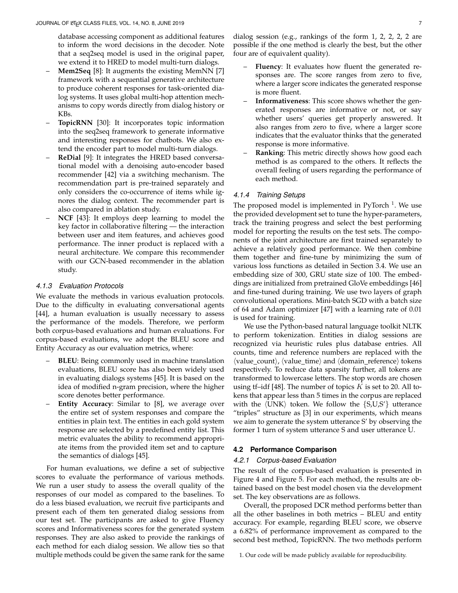database accessing component as additional features to inform the word decisions in the decoder. Note that a seq2seq model is used in the original paper, we extend it to HRED to model multi-turn dialogs.

- **Mem2Seq** [8]: It augments the existing MemNN [7] framework with a sequential generative architecture to produce coherent responses for task-oriented dialog systems. It uses global multi-hop attention mechanisms to copy words directly from dialog history or KBs.
- **TopicRNN** [30]: It incorporates topic information into the seq2seq framework to generate informative and interesting responses for chatbots. We also extend the encoder part to model multi-turn dialogs.
- **ReDial** [9]: It integrates the HRED based conversational model with a denoising auto-encoder based recommender [42] via a switching mechanism. The recommendation part is pre-trained separately and only considers the co-occurrence of items while ignores the dialog context. The recommender part is also compared in ablation study.
- **NCF** [43]: It employs deep learning to model the key factor in collaborative filtering — the interaction between user and item features, and achieves good performance. The inner product is replaced with a neural architecture. We compare this recommender with our GCN-based recommender in the ablation study.

## *4.1.3 Evaluation Protocols*

We evaluate the methods in various evaluation protocols. Due to the difficulty in evaluating conversational agents [44], a human evaluation is usually necessary to assess the performance of the models. Therefore, we perform both corpus-based evaluations and human evaluations. For corpus-based evaluations, we adopt the BLEU score and Entity Accuracy as our evaluation metrics, where:

- **BLEU**: Being commonly used in machine translation evaluations, BLEU score has also been widely used in evaluating dialogs systems [45]. It is based on the idea of modified n-gram precision, where the higher score denotes better performance.
- **Entity Accuracy**: Similar to [8], we average over the entire set of system responses and compare the entities in plain text. The entities in each gold system response are selected by a predefined entity list. This metric evaluates the ability to recommend appropriate items from the provided item set and to capture the semantics of dialogs [45].

For human evaluations, we define a set of subjective scores to evaluate the performance of various methods. We run a user study to assess the overall quality of the responses of our model as compared to the baselines. To do a less biased evaluation, we recruit five participants and present each of them ten generated dialog sessions from our test set. The participants are asked to give Fluency scores and Informativeness scores for the generated system responses. They are also asked to provide the rankings of each method for each dialog session. We allow ties so that multiple methods could be given the same rank for the same

dialog session (e.g., rankings of the form 1, 2, 2, 2, 2 are possible if the one method is clearly the best, but the other four are of equivalent quality).

- **Fluency**: It evaluates how fluent the generated responses are. The score ranges from zero to five, where a larger score indicates the generated response is more fluent.
- **Informativeness**: This score shows whether the generated responses are informative or not, or say whether users' queries get properly answered. It also ranges from zero to five, where a larger score indicates that the evaluator thinks that the generated response is more informative.
- **Ranking**: This metric directly shows how good each method is as compared to the others. It reflects the overall feeling of users regarding the performance of each method.

## *4.1.4 Training Setups*

The proposed model is implemented in PyTorch<sup>1</sup>. We use the provided development set to tune the hyper-parameters, track the training progress and select the best performing model for reporting the results on the test sets. The components of the joint architecture are first trained separately to achieve a relatively good performance. We then combine them together and fine-tune by minimizing the sum of various loss functions as detailed in Section 3.4. We use an embedding size of 300, GRU state size of 100. The embeddings are initialized from pretrained GloVe embeddings [46] and fine-tuned during training. We use two layers of graph convolutional operations. Mini-batch SGD with a batch size of 64 and Adam optimizer [47] with a learning rate of 0.01 is used for training.

We use the Python-based natural language toolkit NLTK to perform tokenization. Entities in dialog sessions are recognized via heuristic rules plus database entries. All counts, time and reference numbers are replaced with the  $\langle$ value\_count $\rangle$ ,  $\langle$ value\_time $\rangle$  and  $\langle$  domain\_reference $\rangle$  tokens respectively. To reduce data sparsity further, all tokens are transformed to lowercase letters. The stop words are chosen using tf-idf [48]. The number of topics  $K$  is set to 20. All tokens that appear less than 5 times in the corpus are replaced with the  $\langle$ UNK $\rangle$  token. We follow the  $\{S, U, S'\}$  utterance "triples" structure as [3] in our experiments, which means we aim to generate the system utterance S' by observing the former 1 turn of system utterance S and user utterance U.

#### **4.2 Performance Comparison**

# *4.2.1 Corpus-based Evaluation*

The result of the corpus-based evaluation is presented in Figure 4 and Figure 5. For each method, the results are obtained based on the best model chosen via the development set. The key observations are as follows.

Overall, the proposed DCR method performs better than all the other baselines in both metrics – BLEU and entity accuracy. For example, regarding BLEU score, we observe a 6.82% of performance improvement as compared to the second best method, TopicRNN. The two methods perform

1. Our code will be made publicly available for reproducibility.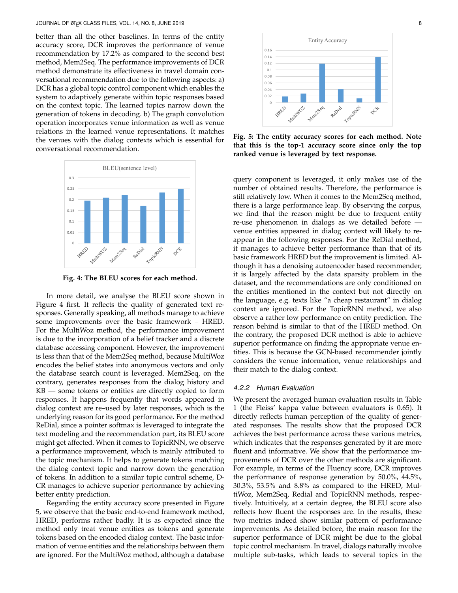better than all the other baselines. In terms of the entity accuracy score, DCR improves the performance of venue recommendation by 17.2% as compared to the second best method, Mem2Seq. The performance improvements of DCR method demonstrate its effectiveness in travel domain conversational recommendation due to the following aspects: a) DCR has a global topic control component which enables the system to adaptively generate within topic responses based on the context topic. The learned topics narrow down the generation of tokens in decoding. b) The graph convolution operation incorporates venue information as well as venue relations in the learned venue representations. It matches the venues with the dialog contexts which is essential for conversational recommendation.



**Fig. 4: The BLEU scores for each method.**

In more detail, we analyse the BLEU score shown in Figure 4 first. It reflects the quality of generated text responses. Generally speaking, all methods manage to achieve some improvements over the basic framework – HRED. For the MultiWoz method, the performance improvement is due to the incorporation of a belief tracker and a discrete database accessing component. However, the improvement is less than that of the Mem2Seq method, because MultiWoz encodes the belief states into anonymous vectors and only the database search count is leveraged. Mem2Seq, on the contrary, generates responses from the dialog history and KB — some tokens or entities are directly copied to form responses. It happens frequently that words appeared in dialog context are re–used by later responses, which is the underlying reason for its good performance. For the method ReDial, since a pointer softmax is leveraged to integrate the text modeling and the recommendation part, its BLEU score might get affected. When it comes to TopicRNN, we observe a performance improvement, which is mainly attributed to the topic mechanism. It helps to generate tokens matching the dialog context topic and narrow down the generation of tokens. In addition to a similar topic control scheme, D-CR manages to achieve superior performance by achieving better entity prediction. are the context topic. The keramel to pictomer is the context of the context of the multipleximate some information as well as vertice increases with the dialog contexts which is content in the dialog context which is exa

Regarding the entity accuracy score presented in Figure 5, we observe that the basic end-to-end framework method, HRED, performs rather badly. It is as expected since the method only treat venue entities as tokens and generate tokens based on the encoded dialog context. The basic information of venue entities and the relationships between them



**Fig. 5: The entity accuracy scores for each method. Note that this is the top-1 accuracy score since only the top ranked venue is leveraged by text response.**

query component is leveraged, it only makes use of the number of obtained results. Therefore, the performance is still relatively low. When it comes to the Mem2Seq method, there is a large performance leap. By observing the corpus, we find that the reason might be due to frequent entity re-use phenomenon in dialogs as we detailed before venue entities appeared in dialog context will likely to reappear in the following responses. For the ReDial method, it manages to achieve better performance than that of its basic framework HRED but the improvement is limited. Although it has a denoising autoencoder based recommender, it is largely affected by the data sparsity problem in the dataset, and the recommendations are only conditioned on the entities mentioned in the context but not directly on the language, e.g. texts like "a cheap restaurant" in dialog context are ignored. For the TopicRNN method, we also observe a rather low performance on entity prediction. The reason behind is similar to that of the HRED method. On the contrary, the proposed DCR method is able to achieve superior performance on finding the appropriate venue entities. This is because the GCN-based recommender jointly considers the venue information, venue relationships and their match to the dialog context.

# *4.2.2 Human Evaluation*

We present the averaged human evaluation results in Table 1 (the Fleiss' kappa value between evaluators is 0.65). It directly reflects human perception of the quality of generated responses. The results show that the proposed DCR achieves the best performance across these various metrics, which indicates that the responses generated by it are more fluent and informative. We show that the performance improvements of DCR over the other methods are significant. For example, in terms of the Fluency score, DCR improves the performance of response generation by 50.0%, 44.5%, 30.3%, 53.5% and 8.8% as compared to the HRED, MultiWoz, Mem2Seq, Redial and TopicRNN methods, respectively. Intuitively, at a certain degree, the BLEU score also reflects how fluent the responses are. In the results, these two metrics indeed show similar pattern of performance improvements. As detailed before, the main reason for the superior performance of DCR might be due to the global topic control mechanism. In travel, dialogs naturally involve multiple sub-tasks, which leads to several topics in the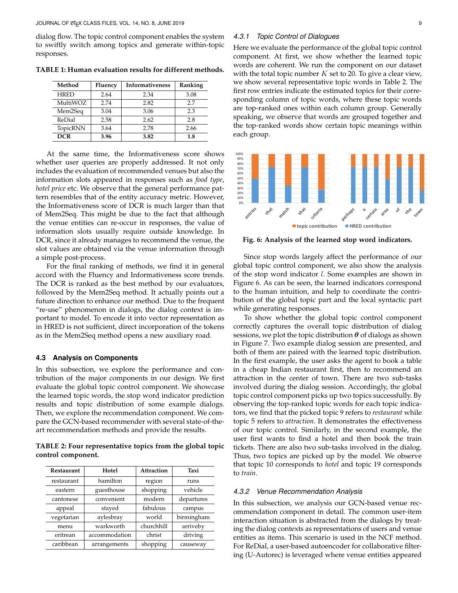dialog flow. The topic control component enables the system to swiftly switch among topics and generate within-topic responses.

| Method      | Fluency | Informativeness | Ranking |
|-------------|---------|-----------------|---------|
| <b>HRED</b> | 2.64    | 2.34            | 3.08    |
| MultiWOZ    | 2.74    | 2.82            | 27      |
| Mem2Seq     | 3.04    | 3.06            | 2.3     |
| ReDial      | 2.58    | 2.62            | 2.8     |
| TopicRNN    | 3.64    | 2.78            | 2.66    |
| <b>DCR</b>  | 3.96    | 3.82            | 1.8     |

**TABLE 1: Human evaluation results for different methods.**

At the same time, the Informativeness score shows whether user queries are properly addressed. It not only includes the evaluation of recommended venues but also the information slots appeared in responses such as *food type*, *hotel price* etc. We observe that the general performance pattern resembles that of the entity accuracy metric. However, the Informativeness score of DCR is much larger than that of Mem2Seq. This might be due to the fact that although the venue entities can re-occur in responses, the value of information slots usually require outside knowledge. In DCR, since it already manages to recommend the venue, the slot values are obtained via the venue information through a simple post-process.

For the final ranking of methods, we find it in general accord with the Fluency and Informativeness score trends. The DCR is ranked as the best method by our evaluators, followed by the Mem2Seq method. It actually points out a future direction to enhance our method. Due to the frequent "re-use" phenomenon in dialogs, the dialog context is important to model. To encode it into vector representation as in HRED is not sufficient, direct incorporation of the tokens as in the Mem2Seq method opens a new auxiliary road.

# **4.3 Analysis on Components**

In this subsection, we explore the performance and contribution of the major components in our design. We first evaluate the global topic control component. We showcase the learned topic words, the stop word indicator prediction results and topic distribution of some example dialogs. Then, we explore the recommendation component. We compare the GCN-based recommender with several state-of-theart recommendation methods and provide the results.

**TABLE 2: Four representative topics from the global topic control component.**

| <b>Restaurant</b> | Hotel         | Attraction | Taxi       |
|-------------------|---------------|------------|------------|
| restaurant        | hamilton      | region     | runs       |
| eastern           | guesthouse    | shopping   | vehicle    |
| cantonese         | convenient    | modern     | departures |
| appeal            | stayed        | fabulous   | campus     |
| vegetarian        | aylesbray     | world      | birmingham |
| menu              | warkworth     | churchhill | arriveby   |
| eritrean          | accommodation | christ     | driving    |
| caribbean         | arrangements  | shopping   | causeway   |

Here we evaluate the performance of the global topic control component. At first, we show whether the learned topic words are coherent. We run the component on our dataset with the total topic number  $K$  set to 20. To give a clear view, we show several representative topic words in Table 2. The first row entries indicate the estimated topics for their corresponding column of topic words, where these topic words are top-ranked ones within each column group. Generally speaking, we observe that words are grouped together and the top-ranked words show certain topic meanings within each group.



**Fig. 6: Analysis of the learned stop word indicators.**

Since stop words largely affect the performance of our global topic control component, we also show the analysis of the stop word indicator l. Some examples are shown in Figure 6. As can be seen, the learned indicators correspond to the human intuition, and help to coordinate the contribution of the global topic part and the local syntactic part while generating responses.

To show whether the global topic control component correctly captures the overall topic distribution of dialog sessions, we plot the topic distribution  $\theta$  of dialogs as shown in Figure 7. Two example dialog session are presented, and both of them are paired with the learned topic distribution. In the first example, the user asks the agent to book a table in a cheap Indian restaurant first, then to recommend an attraction in the center of town. There are two sub-tasks involved during the dialog session. Accordingly, the global topic control component picks up two topics successfully. By observing the top-ranked topic words for each topic indicators, we find that the picked topic 9 refers to *restaurant* while topic 5 refers to *attraction*. It demonstrates the effectiveness of our topic control. Similarly, in the second example, the user first wants to find a hotel and then book the train tickets. There are also two sub-tasks involved in the dialog. Thus, two topics are picked up by the model. We observe that topic 10 corresponds to *hotel* and topic 19 corresponds to *train*.

#### *4.3.2 Venue Recommendation Analysis*

In this subsection, we analysis our GCN-based venue recommendation component in detail. The common user-item interaction situation is abstracted from the dialogs by treating the dialog contexts as representations of users and venue entities as items. This scenario is used in the NCF method. For ReDial, a user-based autoencoder for collaborative filtering (U-Autorec) is leveraged where venue entities appeared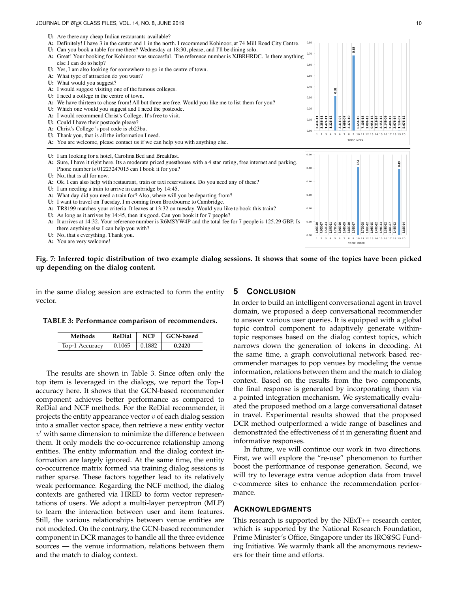#### JOURNAL OF LATEX CLASS FILES, VOL. 14, NO. 8, JUNE 2019 10



# **Fig. 7: Inferred topic distribution of two example dialog sessions. It shows that some of the topics have been picked up depending on the dialog content.**

in the same dialog session are extracted to form the entity vector.

#### **TABLE 3: Performance comparison of recommenders.**

| Methods        | <b>ReDial</b> | <b>NCF</b>     | GCN-based |
|----------------|---------------|----------------|-----------|
| Top-1 Accuracy | 0.1065        | $\perp$ 0.1882 | 0.2420    |

The results are shown in Table 3. Since often only the top item is leveraged in the dialogs, we report the Top-1 accuracy here. It shows that the GCN-based recommender component achieves better performance as compared to ReDial and NCF methods. For the ReDial recommender, it projects the entity appearance vector  $v$  of each dialog session into a smaller vector space, then retrieve a new entity vector  $v'$  with same dimension to minimize the difference between them. It only models the co-occurrence relationship among entities. The entity information and the dialog context information are largely ignored. At the same time, the entity co-occurrence matrix formed via training dialog sessions is rather sparse. These factors together lead to its relatively weak performance. Regarding the NCF method, the dialog contexts are gathered via HRED to form vector representations of users. We adopt a multi-layer perceptron (MLP) to learn the interaction between user and item features. Still, the various relationships between venue entities are not modeled. On the contrary, the GCN-based recommender component in DCR manages to handle all the three evidence sources — the venue information, relations between them and the match to dialog context.

# **5 CONCLUSION**

In order to build an intelligent conversational agent in travel domain, we proposed a deep conversational recommender to answer various user queries. It is equipped with a global topic control component to adaptively generate withintopic responses based on the dialog context topics, which narrows down the generation of tokens in decoding. At the same time, a graph convolutional network based recommender manages to pop venues by modeling the venue information, relations between them and the match to dialog context. Based on the results from the two components, the final response is generated by incorporating them via a pointed integration mechanism. We systematically evaluated the proposed method on a large conversational dataset in travel. Experimental results showed that the proposed DCR method outperformed a wide range of baselines and demonstrated the effectiveness of it in generating fluent and informative responses.

In future, we will continue our work in two directions. First, we will explore the "re-use" phenomenon to further boost the performance of response generation. Second, we will try to leverage extra venue adoption data from travel e-commerce sites to enhance the recommendation performance.

### **ACKNOWLEDGMENTS**

This research is supported by the NExT++ research center, which is supported by the National Research Foundation, Prime Minister's Office, Singapore under its IRC@SG Funding Initiative. We warmly thank all the anonymous reviewers for their time and efforts.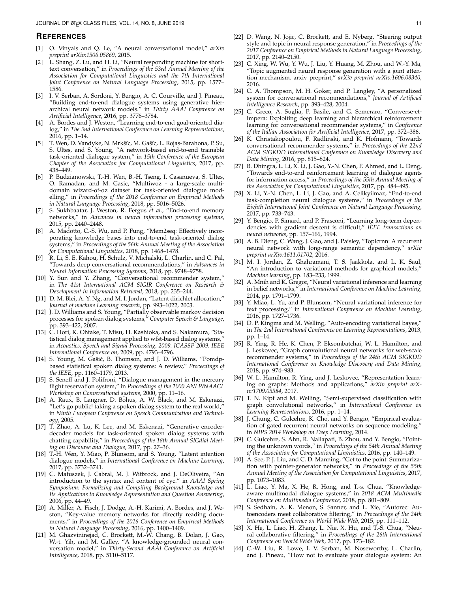#### **REFERENCES**

- [1] O. Vinyals and Q. Le, "A neural conversational model," *arXiv preprint arXiv:1506.05869*, 2015.
- [2] L. Shang, Z. Lu, and H. Li, "Neural responding machine for shorttext conversation," in *Proceedings of the 53rd Annual Meeting of the Association for Computational Linguistics and the 7th International Joint Conference on Natural Language Processing*, 2015, pp. 1577– 1586.
- [3] I. V. Serban, A. Sordoni, Y. Bengio, A. C. Courville, and J. Pineau, "Building end-to-end dialogue systems using generative hierarchical neural network models." in *Thirty AAAI Conference on Artificial Intelligence*, 2016, pp. 3776–3784.
- [4] A. Bordes and J. Weston, "Learning end-to-end goal-oriented dialog," in *The 3nd International Conference on Learning Representations*, 2016, pp. 1–14.
- [5] T. Wen, D. Vandyke, N. Mrkšíc, M. Gašíc, L. Rojas-Barahona, P. Su, S. Ultes, and S. Young, "A network-based end-to-end trainable task-oriented dialogue system," in *15th Conference of the European Chapter of the Association for Computational Linguistics*, 2017, pp. 438–449.
- [6] P. Budzianowski, T.-H. Wen, B.-H. Tseng, I. Casanueva, S. Ultes, O. Ramadan, and M. Gasic, "Multiwoz - a large-scale multidomain wizard-of-oz dataset for task-oriented dialogue modelling," in *Proceedings of the 2018 Conference on Empirical Methods in Natural Language Processing*, 2018, pp. 5016–5026.
- [7] S. Sukhbaatar, J. Weston, R. Fergus *et al.*, "End-to-end memory networks," in *Advances in neural information processing systems*, 2015, pp. 2440–2448.
- [8] A. Madotto, C.-S. Wu, and P. Fung, "Mem2seq: Effectively incorporating knowledge bases into end-to-end task-oriented dialog systems," in *Proceedings of the 56th Annual Meeting of the Association for Computational Linguistics*, 2018, pp. 1468–1478.
- R. Li, S. E. Kahou, H. Schulz, V. Michalski, L. Charlin, and C. Pal, "Towards deep conversational recommendations," in *Advances in Neural Information Processing Systems*, 2018, pp. 9748–9758.
- [10] Y. Sun and Y. Zhang, "Conversational recommender system," in *The 41st International ACM SIGIR Conference on Research & Development in Information Retrieval*, 2018, pp. 235–244.
- [11] D. M. Blei, A. Y. Ng, and M. I. Jordan, "Latent dirichlet allocation," *Journal of machine Learning research*, pp. 993–1022, 2003.
- [12] J. D. Williams and S. Young, "Partially observable markov decision processes for spoken dialog systems," *Computer Speech & Language*, pp. 393–422, 2007.
- [13] C. Hori, K. Ohtake, T. Misu, H. Kashioka, and S. Nakamura, "Statistical dialog management applied to wfst-based dialog systems," in *Acoustics, Speech and Signal Processing, 2009. ICASSP 2009. IEEE International Conference on*, 2009, pp. 4793–4796.
- [14] S. Young, M. Gašić, B. Thomson, and J. D. Williams, "Pomdpbased statistical spoken dialog systems: A review," *Proceedings of the IEEE*, pp. 1160–1179, 2013.
- [15] S. Seneff and J. Polifroni, "Dialogue management in the mercury flight reservation system," in *Proceedings of the 2000 ANLP/NAACL Workshop on Conversational systems*, 2000, pp. 11–16.
- [16] A. Raux, B. Langner, D. Bohus, A. W. Black, and M. Eskenazi, "Let's go public! taking a spoken dialog system to the real world, in *Ninth European Conference on Speech Communication and Technology*, 2005.
- [17] T. Zhao, A. Lu, K. Lee, and M. Eskenazi, "Generative encoderdecoder models for task-oriented spoken dialog systems with chatting capability," in *Proceedings of the 18th Annual SIGdial Meeting on Discourse and Dialogue*, 2017, pp. 27–36.
- [18] T.-H. Wen, Y. Miao, P. Blunsom, and S. Young, "Latent intention dialogue models," in *International Conference on Machine Learning*, 2017, pp. 3732–3741.
- [19] C. Matuszek, J. Cabral, M. J. Witbrock, and J. DeOliveira, "An introduction to the syntax and content of cyc." in *AAAI Spring Symposium: Formalizing and Compiling Background Knowledge and Its Applications to Knowledge Representation and Question Answering*, 2006, pp. 44–49.
- [20] A. Miller, A. Fisch, J. Dodge, A.-H. Karimi, A. Bordes, and J. Weston, "Key-value memory networks for directly reading documents," in *Proceedings of the 2016 Conference on Empirical Methods in Natural Language Processing*, 2016, pp. 1400–1409.
- [21] M. Ghazvininejad, C. Brockett, M.-W. Chang, B. Dolan, J. Gao, W.-t. Yih, and M. Galley, "A knowledge-grounded neural conversation model," in *Thirty-Second AAAI Conference on Artificial Intelligence*, 2018, pp. 5110–5117.
- [22] D. Wang, N. Jojic, C. Brockett, and E. Nyberg, "Steering output style and topic in neural response generation," in *Proceedings of the 2017 Conference on Empirical Methods in Natural Language Processing*, 2017, pp. 2140–2150.
- [23] C. Xing, W. Wu, Y. Wu, J. Liu, Y. Huang, M. Zhou, and W.-Y. Ma, "Topic augmented neural response generation with a joint attention mechanism. arxiv preprint," *arXiv preprint arXiv:1606.08340*, 2016.
- [24] C. A. Thompson, M. H. Goker, and P. Langley, "A personalized system for conversational recommendations," *Journal of Artificial Intelligence Research*, pp. 393–428, 2004.
- [25] C. Greco, A. Suglia, P. Basile, and G. Semeraro, "Converse-etimpera: Exploiting deep learning and hierarchical reinforcement learning for conversational recommender systems," in *Conference of the Italian Association for Artificial Intelligence*, 2017, pp. 372–386.
- [26] K. Christakopoulou, F. Radlinski, and K. Hofmann, "Towards conversational recommender systems," in *Proceedings of the 22nd ACM SIGKDD International Conference on Knowledge Discovery and Data Mining*, 2016, pp. 815–824.
- [27] B. Dhingra, L. Li, X. Li, J. Gao, Y.-N. Chen, F. Ahmed, and L. Deng, "Towards end-to-end reinforcement learning of dialogue agents for information access," in *Proceedings of the 55th Annual Meeting of the Association for Computational Linguistics*, 2017, pp. 484–495.
- [28] X. Li, Y.-N. Chen, L. Li, J. Gao, and A. Celikyilmaz, "End-to-end task-completion neural dialogue systems," in *Proceedings of the Eighth International Joint Conference on Natural Language Processing*, 2017, pp. 733–743.
- [29] Y. Bengio, P. Simard, and P. Frasconi, "Learning long-term dependencies with gradient descent is difficult," *IEEE transactions on neural networks*, pp. 157–166, 1994.
- [30] A. B. Dieng, C. Wang, J. Gao, and J. Paisley, "Topicrnn: A recurrent neural network with long-range semantic dependency," *arXiv preprint arXiv:1611.01702*, 2016.
- [31] M. I. Jordan, Z. Ghahramani, T. S. Jaakkola, and L. K. Saul, "An introduction to variational methods for graphical models," *Machine learning*, pp. 183–233, 1999.
- [32] A. Mnih and K. Gregor, "Neural variational inference and learning in belief networks," in *International Conference on Machine Learning*, 2014, pp. 1791–1799.
- [33] Y. Miao, L. Yu, and P. Blunsom, "Neural variational inference for text processing," in *International Conference on Machine Learning*, 2016, pp. 1727–1736.
- [34] D. P. Kingma and M. Welling, "Auto-encoding variational bayes," in *The 2nd International Conference on Learning Representations*, 2013, pp. 1–14.
- [35] R. Ying, R. He, K. Chen, P. Eksombatchai, W. L. Hamilton, and J. Leskovec, "Graph convolutional neural networks for web-scale recommender systems," in *Proceedings of the 24th ACM SIGKDD International Conference on Knowledge Discovery and Data Mining*, 2018, pp. 974–983.
- [36] W. L. Hamilton, R. Ying, and J. Leskovec, "Representation learning on graphs: Methods and applications," *arXiv preprint arXiv:1709.05584*, 2017.
- [37] T. N. Kipf and M. Welling, "Semi-supervised classification with graph convolutional networks," in *International Conference on Learning Representations*, 2016, pp. 1–14.
- [38] J. Chung, C. Gulcehre, K. Cho, and Y. Bengio, "Empirical evaluation of gated recurrent neural networks on sequence modeling," in *NIPS 2014 Workshop on Deep Learning*, 2014.
- [39] C. Gulcehre, S. Ahn, R. Nallapati, B. Zhou, and Y. Bengio, "Pointing the unknown words," in *Proceedings of the 54th Annual Meeting of the Association for Computational Linguistics*, 2016, pp. 140–149.
- [40] A. See, P. J. Liu, and C. D. Manning, "Get to the point: Summarization with pointer-generator networks," in *Proceedings of the 55th Annual Meeting of the Association for Computational Linguistics*, 2017, pp. 1073–1083.
- [41] L. Liao, Y. Ma, X. He, R. Hong, and T.-s. Chua, "Knowledgeaware multimodal dialogue systems," in *2018 ACM Multimedia Conference on Multimedia Conference*, 2018, pp. 801–809.
- [42] S. Sedhain, A. K. Menon, S. Sanner, and L. Xie, "Autorec: Autoencoders meet collaborative filtering," in *Proceedings of the 24th International Conference on World Wide Web*, 2015, pp. 111–112.
- [43] X. He, L. Liao, H. Zhang, L. Nie, X. Hu, and T.-S. Chua, "Neural collaborative filtering," in *Proceedings of the 26th International Conference on World Wide Web*, 2017, pp. 173–182.
- [44] C.-W. Liu, R. Lowe, I. V. Serban, M. Noseworthy, L. Charlin, and J. Pineau, "How not to evaluate your dialogue system: An